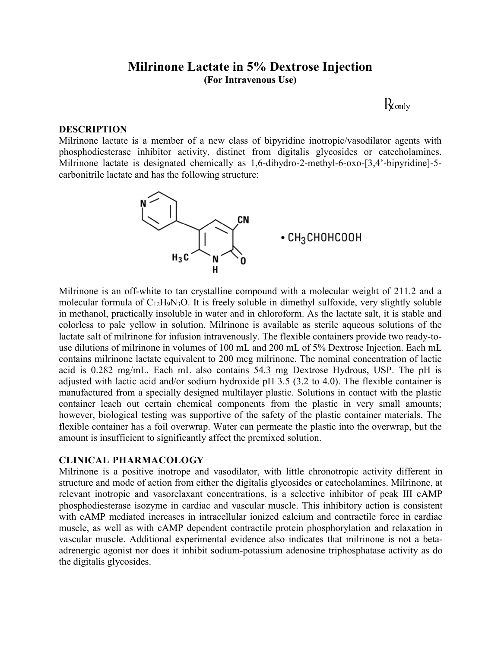# **Milrinone Lactate in 5% Dextrose Injection (For Intravenous Use)**

 $\rm R_{\rm only}$ 

#### **DESCRIPTION**

Milrinone lactate is a member of a new class of bipyridine inotropic/vasodilator agents with phosphodiesterase inhibitor activity, distinct from digitalis glycosides or catecholamines. Milrinone lactate is designated chemically as 1,6-dihydro-2-methyl-6-oxo-[3,4'-bipyridine]-5 carbonitrile lactate and has the following structure:



Milrinone is an off-white to tan crystalline compound with a molecular weight of 211.2 and a molecular formula of  $C_{12}H_9N_3O$ . It is freely soluble in dimethyl sulfoxide, very slightly soluble in methanol, practically insoluble in water and in chloroform. As the lactate salt, it is stable and colorless to pale yellow in solution. Milrinone is available as sterile aqueous solutions of the lactate salt of milrinone for infusion intravenously. The flexible containers provide two ready-touse dilutions of milrinone in volumes of 100 mL and 200 mL of 5% Dextrose Injection. Each mL contains milrinone lactate equivalent to 200 mcg milrinone. The nominal concentration of lactic acid is 0.282 mg/mL. Each mL also contains 54.3 mg Dextrose Hydrous, USP. The pH is adjusted with lactic acid and/or sodium hydroxide pH 3.5 (3.2 to 4.0). The flexible container is manufactured from a specially designed multilayer plastic. Solutions in contact with the plastic container leach out certain chemical components from the plastic in very small amounts; however, biological testing was supportive of the safety of the plastic container materials. The flexible container has a foil overwrap. Water can permeate the plastic into the overwrap, but the amount is insufficient to significantly affect the premixed solution.

#### **CLINICAL PHARMACOLOGY**

Milrinone is a positive inotrope and vasodilator, with little chronotropic activity different in structure and mode of action from either the digitalis glycosides or catecholamines. Milrinone, at relevant inotropic and vasorelaxant concentrations, is a selective inhibitor of peak III cAMP phosphodiesterase isozyme in cardiac and vascular muscle. This inhibitory action is consistent with cAMP mediated increases in intracellular ionized calcium and contractile force in cardiac muscle, as well as with cAMP dependent contractile protein phosphorylation and relaxation in vascular muscle. Additional experimental evidence also indicates that milrinone is not a betaadrenergic agonist nor does it inhibit sodium-potassium adenosine triphosphatase activity as do the digitalis glycosides.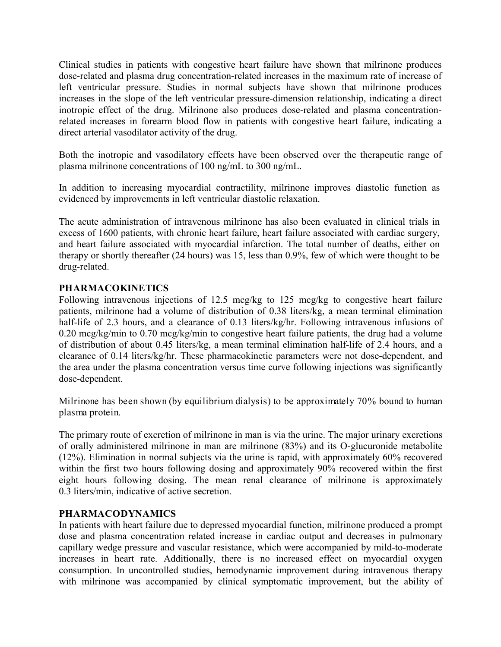Clinical studies in patients with congestive heart failure have shown that milrinone produces dose-related and plasma drug concentration-related increases in the maximum rate of increase of left ventricular pressure. Studies in normal subjects have shown that milrinone produces increases in the slope of the left ventricular pressure-dimension relationship, indicating a direct inotropic effect of the drug. Milrinone also produces dose-related and plasma concentrationrelated increases in forearm blood flow in patients with congestive heart failure, indicating a direct arterial vasodilator activity of the drug.

Both the inotropic and vasodilatory effects have been observed over the therapeutic range of plasma milrinone concentrations of 100 ng/mL to 300 ng/mL.

In addition to increasing myocardial contractility, milrinone improves diastolic function as evidenced by improvements in left ventricular diastolic relaxation.

The acute administration of intravenous milrinone has also been evaluated in clinical trials in excess of 1600 patients, with chronic heart failure, heart failure associated with cardiac surgery, and heart failure associated with myocardial infarction. The total number of deaths, either on therapy or shortly thereafter (24 hours) was 15, less than 0.9%, few of which were thought to be drug-related.

# **PHARMACOKINETICS**

Following intravenous injections of 12.5 mcg/kg to 125 mcg/kg to congestive heart failure patients, milrinone had a volume of distribution of 0.38 liters/kg, a mean terminal elimination half-life of 2.3 hours, and a clearance of 0.13 liters/kg/hr. Following intravenous infusions of 0.20 mcg/kg/min to 0.70 mcg/kg/min to congestive heart failure patients, the drug had a volume of distribution of about 0.45 liters/kg, a mean terminal elimination half-life of 2.4 hours, and a clearance of 0.14 liters/kg/hr. These pharmacokinetic parameters were not dose-dependent, and the area under the plasma concentration versus time curve following injections was significantly dose-dependent.

Milrinone has been shown (by equilibrium dialysis) to be approximately 70% bound to human plasma protein.

The primary route of excretion of milrinone in man is via the urine. The major urinary excretions of orally administered milrinone in man are milrinone (83%) and its O-glucuronide metabolite (12%). Elimination in normal subjects via the urine is rapid, with approximately 60% recovered within the first two hours following dosing and approximately 90% recovered within the first eight hours following dosing. The mean renal clearance of milrinone is approximately 0.3 liters/min, indicative of active secretion.

## **PHARMACODYNAMICS**

In patients with heart failure due to depressed myocardial function, milrinone produced a prompt dose and plasma concentration related increase in cardiac output and decreases in pulmonary capillary wedge pressure and vascular resistance, which were accompanied by mild-to-moderate increases in heart rate. Additionally, there is no increased effect on myocardial oxygen consumption. In uncontrolled studies, hemodynamic improvement during intravenous therapy with milrinone was accompanied by clinical symptomatic improvement, but the ability of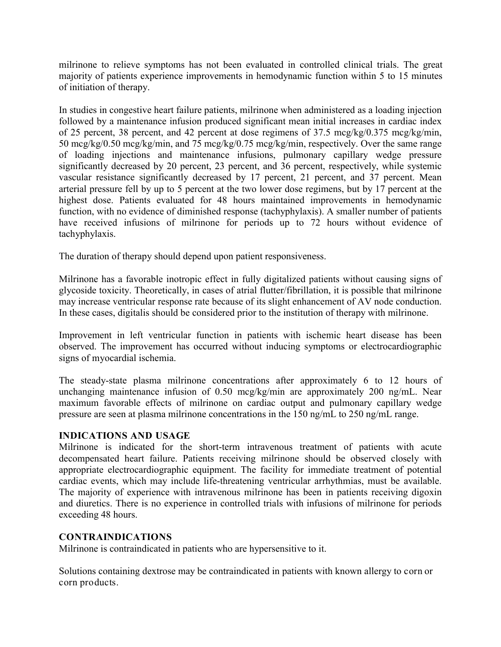milrinone to relieve symptoms has not been evaluated in controlled clinical trials. The great majority of patients experience improvements in hemodynamic function within 5 to 15 minutes of initiation of therapy.

In studies in congestive heart failure patients, milrinone when administered as a loading injection followed by a maintenance infusion produced significant mean initial increases in cardiac index of 25 percent, 38 percent, and 42 percent at dose regimens of 37.5 mcg/kg/0.375 mcg/kg/min, 50 mcg/kg/0.50 mcg/kg/min, and 75 mcg/kg/0.75 mcg/kg/min, respectively. Over the same range of loading injections and maintenance infusions, pulmonary capillary wedge pressure significantly decreased by 20 percent, 23 percent, and 36 percent, respectively, while systemic vascular resistance significantly decreased by 17 percent, 21 percent, and 37 percent. Mean arterial pressure fell by up to 5 percent at the two lower dose regimens, but by 17 percent at the highest dose. Patients evaluated for 48 hours maintained improvements in hemodynamic function, with no evidence of diminished response (tachyphylaxis). A smaller number of patients have received infusions of milrinone for periods up to 72 hours without evidence of tachyphylaxis.

The duration of therapy should depend upon patient responsiveness.

Milrinone has a favorable inotropic effect in fully digitalized patients without causing signs of glycoside toxicity. Theoretically, in cases of atrial flutter/fibrillation, it is possible that milrinone may increase ventricular response rate because of its slight enhancement of AV node conduction. In these cases, digitalis should be considered prior to the institution of therapy with milrinone.

Improvement in left ventricular function in patients with ischemic heart disease has been observed. The improvement has occurred without inducing symptoms or electrocardiographic signs of myocardial ischemia.

The steady-state plasma milrinone concentrations after approximately 6 to 12 hours of unchanging maintenance infusion of 0.50 mcg/kg/min are approximately 200 ng/mL. Near maximum favorable effects of milrinone on cardiac output and pulmonary capillary wedge pressure are seen at plasma milrinone concentrations in the 150 ng/mL to 250 ng/mL range.

## **INDICATIONS AND USAGE**

Milrinone is indicated for the short-term intravenous treatment of patients with acute decompensated heart failure. Patients receiving milrinone should be observed closely with appropriate electrocardiographic equipment. The facility for immediate treatment of potential cardiac events, which may include life-threatening ventricular arrhythmias, must be available. The majority of experience with intravenous milrinone has been in patients receiving digoxin and diuretics. There is no experience in controlled trials with infusions of milrinone for periods exceeding 48 hours.

## **CONTRAINDICATIONS**

Milrinone is contraindicated in patients who are hypersensitive to it.

Solutions containing dextrose may be contraindicated in patients with known allergy to corn or corn products.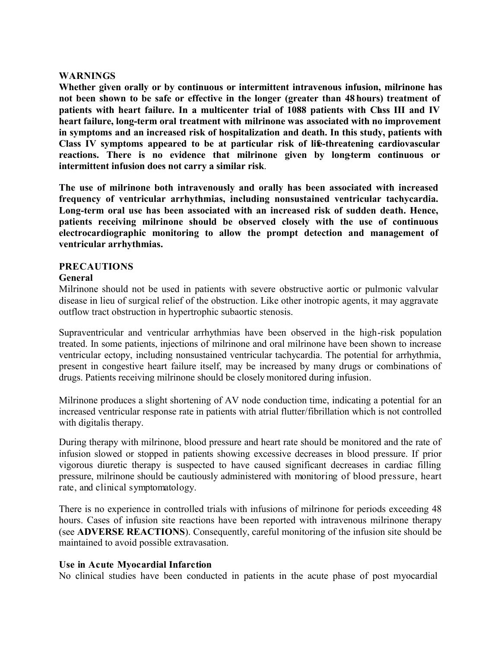### **WARNINGS**

**Whether given orally or by continuous or intermittent intravenous infusion, milrinone has not been shown to be safe or effective in the longer (greater than 48 hours) treatment of**  patients with heart failure. In a multicenter trial of 1088 patients with Chss III and IV **heart failure, long-term oral treatment with milrinone was associated with no improvement in symptoms and an increased risk of hospitalization and death. In this study, patients with Class IV symptoms appeared to be at particular risk of life-threatening cardiovascular**  reactions. There is no evidence that milrinone given by long-term continuous or **intermittent infusion does not carry a similar risk**.

**The use of milrinone both intravenously and orally has been associated with increased frequency of ventricular arrhythmias, including nonsustained ventricular tachycardia. Long-term oral use has been associated with an increased risk of sudden death. Hence, patients receiving milrinone should be observed closely with the use of continuous electrocardiographic monitoring to allow the prompt detection and management of ventricular arrhythmias.**

### **PRECAUTIONS**

### **General**

Milrinone should not be used in patients with severe obstructive aortic or pulmonic valvular disease in lieu of surgical relief of the obstruction. Like other inotropic agents, it may aggravate outflow tract obstruction in hypertrophic subaortic stenosis.

Supraventricular and ventricular arrhythmias have been observed in the high-risk population treated. In some patients, injections of milrinone and oral milrinone have been shown to increase ventricular ectopy, including nonsustained ventricular tachycardia. The potential for arrhythmia, present in congestive heart failure itself, may be increased by many drugs or combinations of drugs. Patients receiving milrinone should be closely monitored during infusion.

Milrinone produces a slight shortening of AV node conduction time, indicating a potential for an increased ventricular response rate in patients with atrial flutter/fibrillation which is not controlled with digitalis therapy.

During therapy with milrinone, blood pressure and heart rate should be monitored and the rate of infusion slowed or stopped in patients showing excessive decreases in blood pressure. If prior vigorous diuretic therapy is suspected to have caused significant decreases in cardiac filling pressure, milrinone should be cautiously administered with monitoring of blood pressure, heart rate, and clinical symptomatology.

There is no experience in controlled trials with infusions of milrinone for periods exceeding 48 hours. Cases of infusion site reactions have been reported with intravenous milrinone therapy (see **ADVERSE REACTIONS**). Consequently, careful monitoring of the infusion site should be maintained to avoid possible extravasation.

#### **Use in Acute Myocardial Infarction**

No clinical studies have been conducted in patients in the acute phase of post myocardial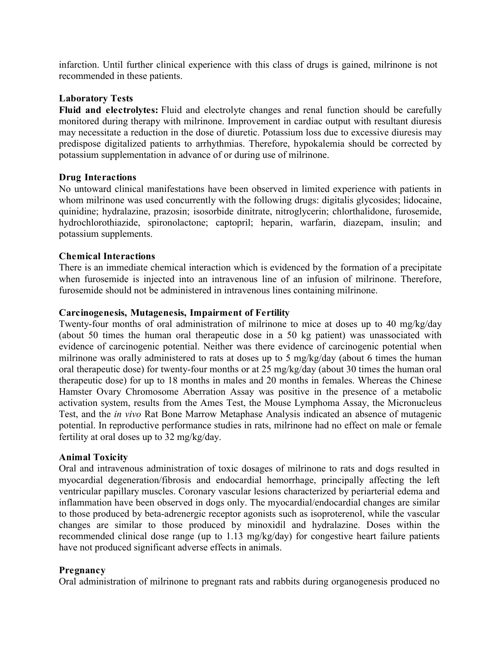infarction. Until further clinical experience with this class of drugs is gained, milrinone is not recommended in these patients.

## **Laboratory Tests**

**Fluid and electrolytes:** Fluid and electrolyte changes and renal function should be carefully monitored during therapy with milrinone. Improvement in cardiac output with resultant diuresis may necessitate a reduction in the dose of diuretic. Potassium loss due to excessive diuresis may predispose digitalized patients to arrhythmias. Therefore, hypokalemia should be corrected by potassium supplementation in advance of or during use of milrinone.

## **Drug Interactions**

No untoward clinical manifestations have been observed in limited experience with patients in whom milrinone was used concurrently with the following drugs: digitalis glycosides; lidocaine, quinidine; hydralazine, prazosin; isosorbide dinitrate, nitroglycerin; chlorthalidone, furosemide, hydrochlorothiazide, spironolactone; captopril; heparin, warfarin, diazepam, insulin; and potassium supplements.

# **Chemical Interactions**

There is an immediate chemical interaction which is evidenced by the formation of a precipitate when furosemide is injected into an intravenous line of an infusion of milrinone. Therefore, furosemide should not be administered in intravenous lines containing milrinone.

# **Carcinogenesis, Mutagenesis, Impairment of Fertility**

Twenty-four months of oral administration of milrinone to mice at doses up to 40 mg/kg/day (about 50 times the human oral therapeutic dose in a 50 kg patient) was unassociated with evidence of carcinogenic potential. Neither was there evidence of carcinogenic potential when milrinone was orally administered to rats at doses up to 5 mg/kg/day (about 6 times the human oral therapeutic dose) for twenty-four months or at 25 mg/kg/day (about 30 times the human oral therapeutic dose) for up to 18 months in males and 20 months in females. Whereas the Chinese Hamster Ovary Chromosome Aberration Assay was positive in the presence of a metabolic activation system, results from the Ames Test, the Mouse Lymphoma Assay, the Micronucleus Test, and the *in vivo* Rat Bone Marrow Metaphase Analysis indicated an absence of mutagenic potential. In reproductive performance studies in rats, milrinone had no effect on male or female fertility at oral doses up to 32 mg/kg/day.

## **Animal Toxicity**

Oral and intravenous administration of toxic dosages of milrinone to rats and dogs resulted in myocardial degeneration/fibrosis and endocardial hemorrhage, principally affecting the left ventricular papillary muscles. Coronary vascular lesions characterized by periarterial edema and inflammation have been observed in dogs only. The myocardial/endocardial changes are similar to those produced by beta-adrenergic receptor agonists such as isoproterenol, while the vascular changes are similar to those produced by minoxidil and hydralazine. Doses within the recommended clinical dose range (up to 1.13 mg/kg/day) for congestive heart failure patients have not produced significant adverse effects in animals.

## **Pregnancy**

Oral administration of milrinone to pregnant rats and rabbits during organogenesis produced no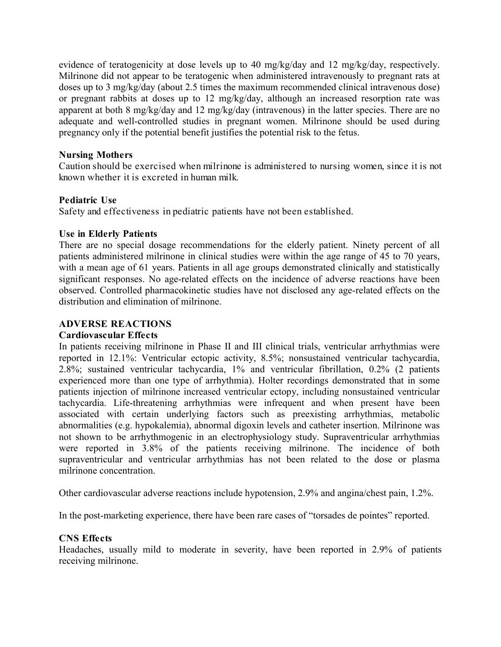evidence of teratogenicity at dose levels up to 40 mg/kg/day and 12 mg/kg/day, respectively. Milrinone did not appear to be teratogenic when administered intravenously to pregnant rats at doses up to 3 mg/kg/day (about 2.5 times the maximum recommended clinical intravenous dose) or pregnant rabbits at doses up to 12 mg/kg/day, although an increased resorption rate was apparent at both 8 mg/kg/day and 12 mg/kg/day (intravenous) in the latter species. There are no adequate and well-controlled studies in pregnant women. Milrinone should be used during pregnancy only if the potential benefit justifies the potential risk to the fetus.

### **Nursing Mothers**

Caution should be exercised when milrinone is administered to nursing women, since it is not known whether it is excreted in human milk.

## **Pediatric Use**

Safety and effectiveness in pediatric patients have not been established.

## **Use in Elderly Patients**

There are no special dosage recommendations for the elderly patient. Ninety percent of all patients administered milrinone in clinical studies were within the age range of 45 to 70 years, with a mean age of 61 years. Patients in all age groups demonstrated clinically and statistically significant responses. No age-related effects on the incidence of adverse reactions have been observed. Controlled pharmacokinetic studies have not disclosed any age-related effects on the distribution and elimination of milrinone.

## **ADVERSE REACTIONS**

#### **Cardiovascular Effects**

In patients receiving milrinone in Phase II and III clinical trials, ventricular arrhythmias were reported in 12.1%: Ventricular ectopic activity, 8.5%; nonsustained ventricular tachycardia, 2.8%; sustained ventricular tachycardia, 1% and ventricular fibrillation, 0.2% (2 patients experienced more than one type of arrhythmia). Holter recordings demonstrated that in some patients injection of milrinone increased ventricular ectopy, including nonsustained ventricular tachycardia. Life-threatening arrhythmias were infrequent and when present have been associated with certain underlying factors such as preexisting arrhythmias, metabolic abnormalities (e.g. hypokalemia), abnormal digoxin levels and catheter insertion. Milrinone was not shown to be arrhythmogenic in an electrophysiology study. Supraventricular arrhythmias were reported in 3.8% of the patients receiving milrinone. The incidence of both supraventricular and ventricular arrhythmias has not been related to the dose or plasma milrinone concentration.

Other cardiovascular adverse reactions include hypotension, 2.9% and angina/chest pain, 1.2%.

In the post-marketing experience, there have been rare cases of "torsades de pointes" reported.

#### **CNS Effects**

Headaches, usually mild to moderate in severity, have been reported in 2.9% of patients receiving milrinone.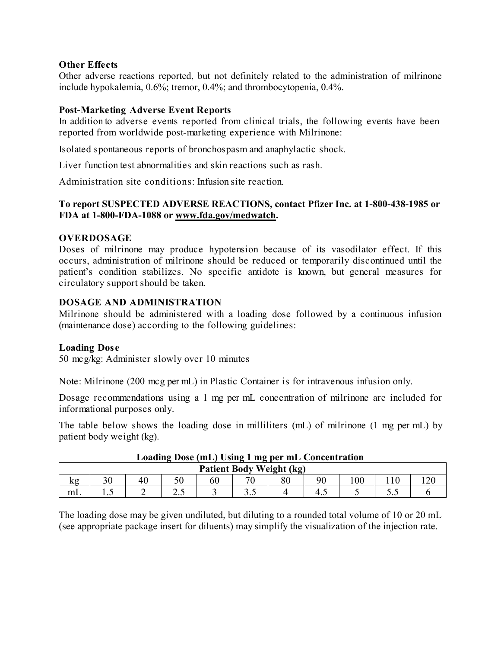## **Other Effects**

Other adverse reactions reported, but not definitely related to the administration of milrinone include hypokalemia, 0.6%; tremor, 0.4%; and thrombocytopenia, 0.4%.

# **Post-Marketing Adverse Event Reports**

In addition to adverse events reported from clinical trials, the following events have been reported from worldwide post-marketing experience with Milrinone:

Isolated spontaneous reports of bronchospasm and anaphylactic shock.

Liver function test abnormalities and skin reactions such as rash.

Administration site conditions: Infusion site reaction.

# **To report SUSPECTED ADVERSE REACTIONS, contact Pfizer Inc. at 1‑800‑438‑1985 or FDA at 1-800-FDA-1088 or www.fda.gov/medwatch.**

# **OVERDOSAGE**

Doses of milrinone may produce hypotension because of its vasodilator effect. If this occurs, administration of milrinone should be reduced or temporarily discontinued until the patient's condition stabilizes. No specific antidote is known, but general measures for circulatory support should be taken.

## **DOSAGE AND ADMINISTRATION**

Milrinone should be administered with a loading dose followed by a continuous infusion (maintenance dose) according to the following guidelines:

## **Loading Dos e**

50 mcg/kg: Administer slowly over 10 minutes

Note: Milrinone (200 mcg per mL) in Plastic Container is for intravenous infusion only.

Dosage recommendations using a 1 mg per mL concentration of milrinone are included for informational purposes only.

The table below shows the loading dose in milliliters (mL) of milrinone (1 mg per mL) by patient body weight (kg).

| <b>Patient Body Weight (kg)</b> |     |    |       |    |                          |                |      |    |  |
|---------------------------------|-----|----|-------|----|--------------------------|----------------|------|----|--|
| κg                              | າ ດ | 40 | ◡◡    | OU | $\overline{\phantom{a}}$ | $\Omega$<br>οu | o٢   | 00 |  |
| mL                              | 1.J | ∽  | ے . ت |    |                          |                | ی. т |    |  |

# **Loading Dose (mL) Using 1 mg per mL Concentration**

The loading dose may be given undiluted, but diluting to a rounded total volume of 10 or 20 mL (see appropriate package insert for diluents) may simplify the visualization of the injection rate.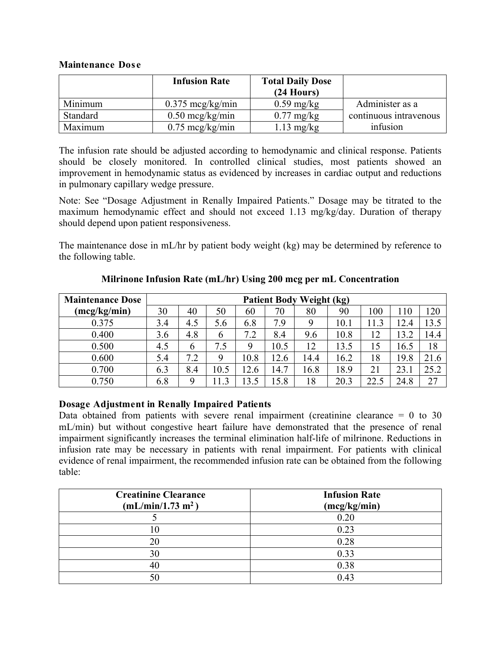## **Maintenance Dos e**

|          | <b>Infusion Rate</b>      | <b>Total Daily Dose</b> |                        |
|----------|---------------------------|-------------------------|------------------------|
|          |                           | $(24$ Hours)            |                        |
| Minimum  | $0.375$ mcg/kg/min        | $0.59 \text{ mg/kg}$    | Administer as a        |
| Standard | $0.50 \text{~mcg/kg/min}$ | $0.77 \text{ mg/kg}$    | continuous intravenous |
| Maximum  | $0.75 \text{~mcg/kg/min}$ | $1.13 \text{ mg/kg}$    | infusion               |

The infusion rate should be adjusted according to hemodynamic and clinical response. Patients should be closely monitored. In controlled clinical studies, most patients showed an improvement in hemodynamic status as evidenced by increases in cardiac output and reductions in pulmonary capillary wedge pressure.

Note: See "Dosage Adjustment in Renally Impaired Patients." Dosage may be titrated to the maximum hemodynamic effect and should not exceed 1.13 mg/kg/day. Duration of therapy should depend upon patient responsiveness.

The maintenance dose in mL/hr by patient body weight (kg) may be determined by reference to the following table.

| <b>Maintenance Dose</b> | <b>Patient Body Weight (kg)</b> |     |      |      |      |      |      |      |      |      |
|-------------------------|---------------------------------|-----|------|------|------|------|------|------|------|------|
| (mcg/kg/min)            | 30                              | 40  | 50   | 60   | 70   | 80   | 90   | 100  | 110  | 120  |
| 0.375                   | 3.4                             | 4.5 | 5.6  | 6.8  | 7.9  | 9    | 10.1 | 11   | 12.4 | 13.5 |
| 0.400                   | 3.6                             | 4.8 | 6    | 7.2  | 8.4  | 9.6  | 10.8 | 12   | 13.2 | 14.4 |
| 0.500                   | 4.5                             | 6   | 7.5  | Q    | 10.5 | 12   | 13.5 | 15   | 16.5 | 18   |
| 0.600                   | 5.4                             | 7.2 |      | 10.8 | 12.6 | 14.4 | 16.2 | 18   | .9.8 | 21.6 |
| 0.700                   | 6.3                             | 8.4 | 10.5 | 12.6 | 14.7 | 16.8 | 18.9 | 21   | 23.  | 25.2 |
| 0.750                   | 6.8                             | Q   |      | 13.5 | 5.8  | 18   | 20.3 | 22.5 | 24.8 | 27   |

# **Milrinone Infusion Rate (mL/hr) Using 200 mcg per mL Concentration**

# **Dosage Adjustment in Renally Impaired Patients**

Data obtained from patients with severe renal impairment (creatinine clearance  $= 0$  to 30 mL/min) but without congestive heart failure have demonstrated that the presence of renal impairment significantly increases the terminal elimination half-life of milrinone. Reductions in infusion rate may be necessary in patients with renal impairment. For patients with clinical evidence of renal impairment, the recommended infusion rate can be obtained from the following table:

| <b>Creatinine Clearance</b><br>(mL/min/1.73 m <sup>2</sup> ) | <b>Infusion Rate</b><br>(mcg/kg/min) |
|--------------------------------------------------------------|--------------------------------------|
|                                                              | 0.20                                 |
|                                                              | 0.23                                 |
| 20                                                           | 0.28                                 |
| 30                                                           | 0.33                                 |
|                                                              | 0.38                                 |
|                                                              | 0.43                                 |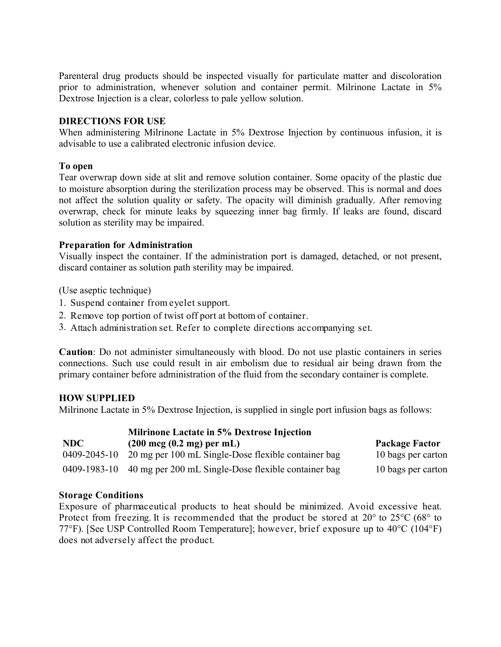Parenteral drug products should be inspected visually for particulate matter and discoloration prior to administration, whenever solution and container permit. Milrinone Lactate in 5% Dextrose Injection is a clear, colorless to pale yellow solution.

## **DIRECTIONS FOR USE**

When administering Milrinone Lactate in 5% Dextrose Injection by continuous infusion, it is advisable to use a calibrated electronic infusion device.

# **To open**

Tear overwrap down side at slit and remove solution container. Some opacity of the plastic due to moisture absorption during the sterilization process may be observed. This is normal and does not affect the solution quality or safety. The opacity will diminish gradually. After removing overwrap, check for minute leaks by squeezing inner bag firmly. If leaks are found, discard solution as sterility may be impaired.

# **Preparation for Administration**

Visually inspect the container. If the administration port is damaged, detached, or not present, discard container as solution path sterility may be impaired.

(Use aseptic technique)

- 1. Suspend container from eyelet support.
- 2. Remove top portion of twist off port at bottom of container.
- 3. Attach administration set. Refer to complete directions accompanying set.

**Caution**: Do not administer simultaneously with blood. Do not use plastic containers in series connections. Such use could result in air embolism due to residual air being drawn from the primary container before administration of the fluid from the secondary container is complete.

## **HOW SUPPLIED**

Milrinone Lactate in 5% Dextrose Injection, is supplied in single port infusion bags as follows:

|            | <b>Milrinone Lactate in 5% Dextrose Injection</b>                |                    |  |  |  |  |  |
|------------|------------------------------------------------------------------|--------------------|--|--|--|--|--|
| <b>NDC</b> | $(200 \text{ mcg} (0.2 \text{ mg}) \text{ per mL})$              | Package Factor     |  |  |  |  |  |
|            | 0409-2045-10 20 mg per 100 mL Single-Dose flexible container bag | 10 bags per carton |  |  |  |  |  |
|            | 0409-1983-10 40 mg per 200 mL Single-Dose flexible container bag | 10 bags per carton |  |  |  |  |  |

# **Storage Conditions**

Exposure of pharmaceutical products to heat should be minimized. Avoid excessive heat. Protect from freezing. It is recommended that the product be stored at 20° to 25°C (68° to 77°F). [See USP Controlled Room Temperature]; however, brief exposure up to 40°C (104°F) does not adversely affect the product.